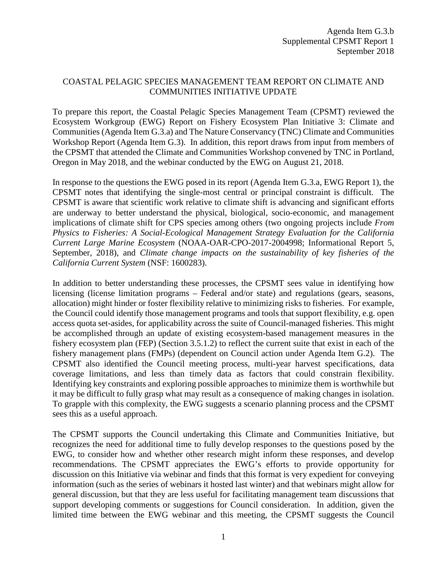## COASTAL PELAGIC SPECIES MANAGEMENT TEAM REPORT ON CLIMATE AND COMMUNITIES INITIATIVE UPDATE

To prepare this report, the Coastal Pelagic Species Management Team (CPSMT) reviewed the Ecosystem Workgroup (EWG) Report on Fishery Ecosystem Plan Initiative 3: Climate and Communities (Agenda Item G.3.a) and The Nature Conservancy (TNC) Climate and Communities Workshop Report (Agenda Item G.3). In addition, this report draws from input from members of the CPSMT that attended the Climate and Communities Workshop convened by TNC in Portland, Oregon in May 2018, and the webinar conducted by the EWG on August 21, 2018.

In response to the questions the EWG posed in its report (Agenda Item G.3.a, EWG Report 1), the CPSMT notes that identifying the single-most central or principal constraint is difficult. The CPSMT is aware that scientific work relative to climate shift is advancing and significant efforts are underway to better understand the physical, biological, socio-economic, and management implications of climate shift for CPS species among others (two ongoing projects include *From Physics to Fisheries: A Social-Ecological Management Strategy Evaluation for the California Current Large Marine Ecosystem* (NOAA-OAR-CPO-2017-2004998; Informational Report 5, September, 2018), and *Climate change impacts on the sustainability of key fisheries of the California Current System* (NSF: 1600283).

In addition to better understanding these processes, the CPSMT sees value in identifying how licensing (license limitation programs – Federal and/or state) and regulations (gears, seasons, allocation) might hinder or foster flexibility relative to minimizing risks to fisheries. For example, the Council could identify those management programs and tools that support flexibility, e.g. open access quota set-asides, for applicability across the suite of Council-managed fisheries. This might be accomplished through an update of existing ecosystem-based management measures in the fishery ecosystem plan (FEP) (Section 3.5.1.2) to reflect the current suite that exist in each of the fishery management plans (FMPs) (dependent on Council action under Agenda Item G.2). The CPSMT also identified the Council meeting process, multi-year harvest specifications, data coverage limitations, and less than timely data as factors that could constrain flexibility. Identifying key constraints and exploring possible approaches to minimize them is worthwhile but it may be difficult to fully grasp what may result as a consequence of making changes in isolation. To grapple with this complexity, the EWG suggests a scenario planning process and the CPSMT sees this as a useful approach.

The CPSMT supports the Council undertaking this Climate and Communities Initiative, but recognizes the need for additional time to fully develop responses to the questions posed by the EWG, to consider how and whether other research might inform these responses, and develop recommendations. The CPSMT appreciates the EWG's efforts to provide opportunity for discussion on this Initiative via webinar and finds that this format is very expedient for conveying information (such as the series of webinars it hosted last winter) and that webinars might allow for general discussion, but that they are less useful for facilitating management team discussions that support developing comments or suggestions for Council consideration. In addition, given the limited time between the EWG webinar and this meeting, the CPSMT suggests the Council